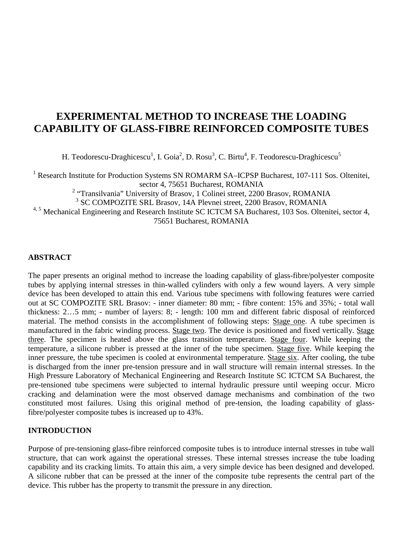# **EXPERIMENTAL METHOD TO INCREASE THE LOADING CAPABILITY OF GLASS-FIBRE REINFORCED COMPOSITE TUBES**

H. Teodorescu-Draghicescu<sup>1</sup>, I. Goia<sup>2</sup>, D. Rosu<sup>3</sup>, C. Birtu<sup>4</sup>, F. Teodorescu-Draghicescu<sup>5</sup>

<sup>1</sup> Research Institute for Production Systems SN ROMARM SA-ICPSP Bucharest, 107-111 Sos. Oltenitei, sector 4, 75651 Bucharest, ROMANIA

<sup>2</sup> "Transilvania" University of Brasov, 1 Colinei street, 2200 Brasov, ROMANIA

3 SC COMPOZITE SRL Brasov, 14A Plevnei street, 2200 Brasov, ROMANIA

<sup>4, 5</sup> Mechanical Engineering and Research Institute SC ICTCM SA Bucharest, 103 Sos. Oltenitei, sector 4,

75651 Bucharest, ROMANIA

## **ABSTRACT**

The paper presents an original method to increase the loading capability of glass-fibre/polyester composite tubes by applying internal stresses in thin-walled cylinders with only a few wound layers. A very simple device has been developed to attain this end. Various tube specimens with following features were carried out at SC COMPOZITE SRL Brasov: - inner diameter: 80 mm; - fibre content: 15% and 35%; - total wall thickness: 2…5 mm; - number of layers: 8; - length: 100 mm and different fabric disposal of reinforced material. The method consists in the accomplishment of following steps: Stage one. A tube specimen is manufactured in the fabric winding process. Stage two. The device is positioned and fixed vertically. Stage three. The specimen is heated above the glass transition temperature. Stage four. While keeping the temperature, a silicone rubber is pressed at the inner of the tube specimen. Stage five. While keeping the inner pressure, the tube specimen is cooled at environmental temperature. Stage six. After cooling, the tube is discharged from the inner pre-tension pressure and in wall structure will remain internal stresses. In the High Pressure Laboratory of Mechanical Engineering and Research Institute SC ICTCM SA Bucharest, the pre-tensioned tube specimens were subjected to internal hydraulic pressure until weeping occur. Micro cracking and delamination were the most observed damage mechanisms and combination of the two constituted most failures. Using this original method of pre-tension, the loading capability of glassfibre/polyester composite tubes is increased up to 43%.

## **INTRODUCTION**

Purpose of pre-tensioning glass-fibre reinforced composite tubes is to introduce internal stresses in tube wall structure, that can work against the operational stresses. These internal stresses increase the tube loading capability and its cracking limits. To attain this aim, a very simple device has been designed and developed. A silicone rubber that can be pressed at the inner of the composite tube represents the central part of the device. This rubber has the property to transmit the pressure in any direction.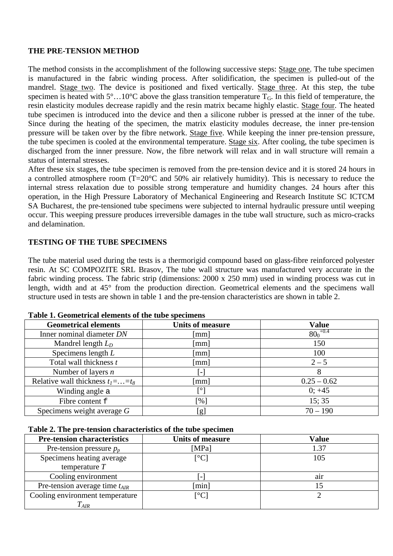## **THE PRE-TENSION METHOD**

The method consists in the accomplishment of the following successive steps: Stage one. The tube specimen is manufactured in the fabric winding process. After solidification, the specimen is pulled-out of the mandrel. Stage two. The device is positioned and fixed vertically. Stage three. At this step, the tube specimen is heated with  $5^\circ$ ...10°C above the glass transition temperature  $T_G$ . In this field of temperature, the resin elasticity modules decrease rapidly and the resin matrix became highly elastic. Stage four. The heated tube specimen is introduced into the device and then a silicone rubber is pressed at the inner of the tube. Since during the heating of the specimen, the matrix elasticity modules decrease, the inner pre-tension pressure will be taken over by the fibre network. Stage five. While keeping the inner pre-tension pressure, the tube specimen is cooled at the environmental temperature. Stage six. After cooling, the tube specimen is discharged from the inner pressure. Now, the fibre network will relax and in wall structure will remain a status of internal stresses.

After these six stages, the tube specimen is removed from the pre-tension device and it is stored 24 hours in a controlled atmosphere room (T=20°C and 50% air relatively humidity). This is necessary to reduce the internal stress relaxation due to possible strong temperature and humidity changes. 24 hours after this operation, in the High Pressure Laboratory of Mechanical Engineering and Research Institute SC ICTCM SA Bucharest, the pre-tensioned tube specimens were subjected to internal hydraulic pressure until weeping occur. This weeping pressure produces irreversible damages in the tube wall structure, such as micro-cracks and delamination.

## **TESTING OF THE TUBE SPECIMENS**

The tube material used during the tests is a thermorigid compound based on glass-fibre reinforced polyester resin. At SC COMPOZITE SRL Brasov, The tube wall structure was manufactured very accurate in the fabric winding process. The fabric strip (dimensions: 2000 x 250 mm) used in winding process was cut in length, width and at 45° from the production direction. Geometrical elements and the specimens wall structure used in tests are shown in table 1 and the pre-tension characteristics are shown in table 2.

| <b>Geometrical elements</b>            | <b>Units of measure</b>  | <b>Value</b>  |
|----------------------------------------|--------------------------|---------------|
| Inner nominal diameter DN              | $\lceil$ mm $\rceil$     | $80_0^{+0.4}$ |
| Mandrel length $L_D$                   | $\lceil$ mm $\rceil$     | 150           |
| Specimens length $L$                   | [mm]                     | 100           |
| Total wall thickness t                 | [mm]                     | $2 - 5$       |
| Number of layers $n$                   | $\overline{\phantom{m}}$ | 8             |
| Relative wall thickness $t_1 =  = t_8$ | $\lceil$ mm $\rceil$     | $0.25 - 0.62$ |
| Winding angle a                        | [°]                      | $0; +45$      |
| Fibre content f                        | [%]                      | 15:35         |
| Specimens weight average G             | [g]                      | $70 - 190$    |

#### **Table 1. Geometrical elements of the tube specimens**

#### **Table 2. The pre-tension characteristics of the tube specimen**

| <b>Pre-tension characteristics</b> | <b>Units of measure</b>                 | <b>Value</b> |
|------------------------------------|-----------------------------------------|--------------|
| Pre-tension pressure $p_p$         | [MPa]                                   | 1.37         |
| Specimens heating average          | $\lceil{^\circ}\text{C}\rceil$          | 105          |
| temperature $T$                    |                                         |              |
| Cooling environment                | $\overline{\phantom{0}}$                | air          |
| Pre-tension average time $t_{AlR}$ | [min]                                   |              |
| Cooling environment temperature    | $\mathsf{I}^\circ\mathsf{C} \mathsf{I}$ |              |
| $T_{AlR}$                          |                                         |              |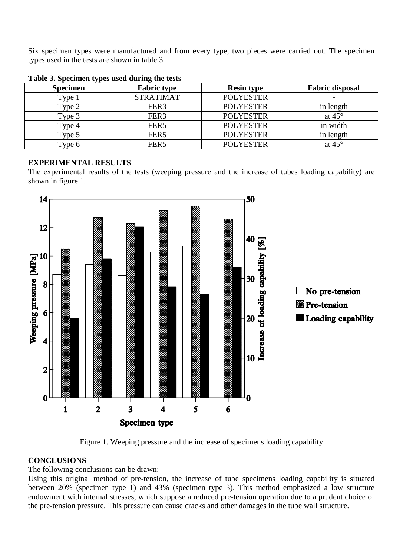Six specimen types were manufactured and from every type, two pieces were carried out. The specimen types used in the tests are shown in table 3.

| - -<br><b>Specimen</b> | <b>Fabric type</b> | <b>Resin type</b> | <b>Fabric disposal</b> |
|------------------------|--------------------|-------------------|------------------------|
| Type 1                 | <b>STRATIMAT</b>   | <b>POLYESTER</b>  |                        |
| Type 2                 | FER <sub>3</sub>   | <b>POLYESTER</b>  | in length              |
| Type 3                 | FER <sub>3</sub>   | <b>POLYESTER</b>  | at $45^\circ$          |
| Type 4                 | FER <sub>5</sub>   | <b>POLYESTER</b>  | in width               |
| Type 5                 | FER <sub>5</sub>   | <b>POLYESTER</b>  | in length              |
| Type 6                 | FER5               | <b>POLYESTER</b>  | at $45^\circ$          |

## **EXPERIMENTAL RESULTS**

The experimental results of the tests (weeping pressure and the increase of tubes loading capability) are shown in figure 1.



Figure 1. Weeping pressure and the increase of specimens loading capability

## **CONCLUSIONS**

The following conclusions can be drawn:

Using this original method of pre-tension, the increase of tube specimens loading capability is situated between 20% (specimen type 1) and 43% (specimen type 3). This method emphasized a low structure endowment with internal stresses, which suppose a reduced pre-tension operation due to a prudent choice of the pre-tension pressure. This pressure can cause cracks and other damages in the tube wall structure.